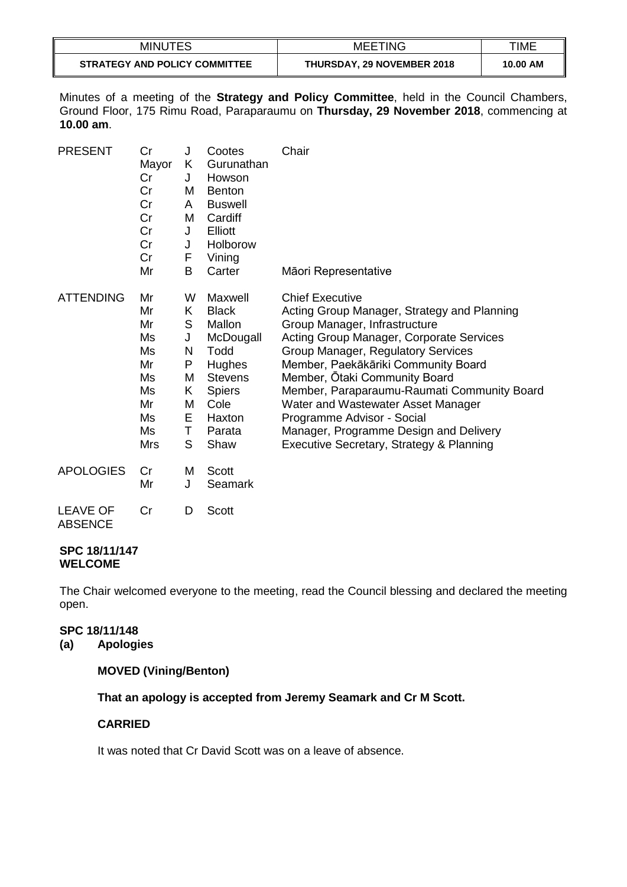| <b>MINUTES</b>                       | <b>MEETING</b>                    | TIME     |
|--------------------------------------|-----------------------------------|----------|
| <b>STRATEGY AND POLICY COMMITTEE</b> | <b>THURSDAY, 29 NOVEMBER 2018</b> | 10.00 AM |

Minutes of a meeting of the **Strategy and Policy Committee**, held in the Council Chambers, Ground Floor, 175 Rimu Road, Paraparaumu on **Thursday, 29 November 2018**, commencing at **10.00 am**.

| <b>PRESENT</b>   | Cr    | J | Cootes         | Chair                                       |
|------------------|-------|---|----------------|---------------------------------------------|
|                  | Mayor | Κ | Gurunathan     |                                             |
|                  | Cr    | J | Howson         |                                             |
|                  | Cr    | M | <b>Benton</b>  |                                             |
|                  | Cr    | A | <b>Buswell</b> |                                             |
|                  | Cr    | M | Cardiff        |                                             |
|                  | Cr    | J | Elliott        |                                             |
|                  | Cr    | J | Holborow       |                                             |
|                  | Cr    | F | Vining         |                                             |
|                  | Mr    | B | Carter         | Māori Representative                        |
| <b>ATTENDING</b> | Mr    | W | Maxwell        | <b>Chief Executive</b>                      |
|                  | Mr    | Κ | <b>Black</b>   | Acting Group Manager, Strategy and Planning |
|                  | Mr    | S | Mallon         | Group Manager, Infrastructure               |
|                  | Ms    | J | McDougall      | Acting Group Manager, Corporate Services    |
|                  | Ms    | N | Todd           | Group Manager, Regulatory Services          |
|                  | Mr    | P | Hughes         | Member, Paekākāriki Community Board         |
|                  | Ms    | M | <b>Stevens</b> | Member, Otaki Community Board               |
|                  | Ms    | Κ | <b>Spiers</b>  | Member, Paraparaumu-Raumati Community Board |
|                  | Mr    | M | Cole           | Water and Wastewater Asset Manager          |
|                  | Ms    | E | Haxton         | Programme Advisor - Social                  |
|                  | Ms    | Т | Parata         | Manager, Programme Design and Delivery      |
|                  | Mrs   | S | Shaw           | Executive Secretary, Strategy & Planning    |
| <b>APOLOGIES</b> | Cr    | M | <b>Scott</b>   |                                             |
|                  | Mr    | J | <b>Seamark</b> |                                             |
| <b>LEAVE OF</b>  | Cr    | D | <b>Scott</b>   |                                             |

#### **SPC 18/11/147 WELCOME**

ABSENCE

The Chair welcomed everyone to the meeting, read the Council blessing and declared the meeting open.

# **SPC 18/11/148**

**(a) Apologies**

# **MOVED (Vining/Benton)**

**That an apology is accepted from Jeremy Seamark and Cr M Scott.**

# **CARRIED**

It was noted that Cr David Scott was on a leave of absence.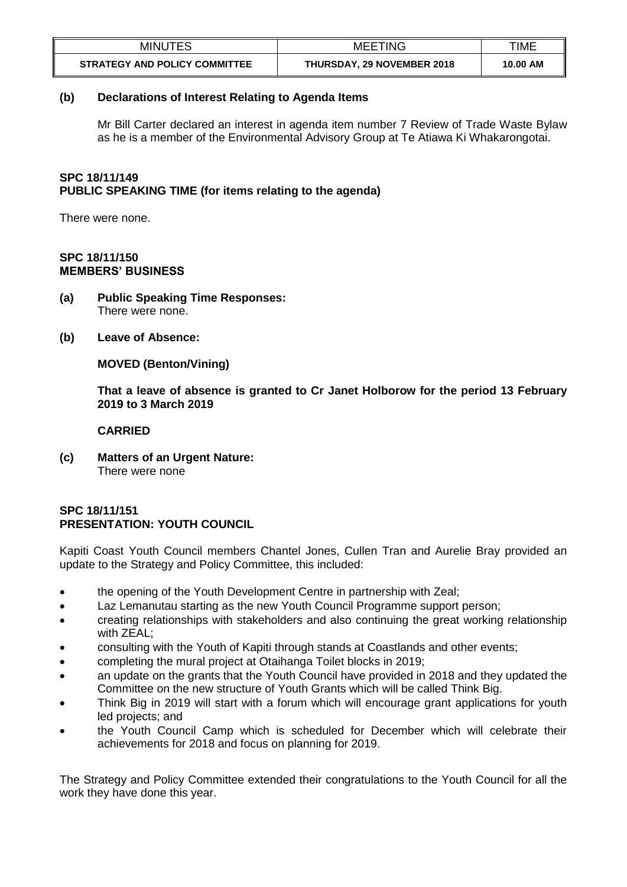| <b>MINUTES</b>                       | <b>MEETING</b>                    | TIME     |
|--------------------------------------|-----------------------------------|----------|
| <b>STRATEGY AND POLICY COMMITTEE</b> | <b>THURSDAY, 29 NOVEMBER 2018</b> | 10.00 AM |

#### **(b) Declarations of Interest Relating to Agenda Items**

Mr Bill Carter declared an interest in agenda item number 7 Review of Trade Waste Bylaw as he is a member of the Environmental Advisory Group at Te Atiawa Ki Whakarongotai.

#### **SPC 18/11/149 PUBLIC SPEAKING TIME (for items relating to the agenda)**

There were none.

#### **SPC 18/11/150 MEMBERS' BUSINESS**

- **(a) Public Speaking Time Responses:** There were none.
- **(b) Leave of Absence:**

## **MOVED (Benton/Vining)**

**That a leave of absence is granted to Cr Janet Holborow for the period 13 February 2019 to 3 March 2019**

#### **CARRIED**

**(c) Matters of an Urgent Nature:** There were none

## **SPC 18/11/151 PRESENTATION: YOUTH COUNCIL**

Kapiti Coast Youth Council members Chantel Jones, Cullen Tran and Aurelie Bray provided an update to the Strategy and Policy Committee, this included:

- the opening of the Youth Development Centre in partnership with Zeal;
- Laz Lemanutau starting as the new Youth Council Programme support person;
- creating relationships with stakeholders and also continuing the great working relationship with ZEAL;
- consulting with the Youth of Kapiti through stands at Coastlands and other events;
- completing the mural project at Otaihanga Toilet blocks in 2019;
- an update on the grants that the Youth Council have provided in 2018 and they updated the Committee on the new structure of Youth Grants which will be called Think Big.
- Think Big in 2019 will start with a forum which will encourage grant applications for youth led projects; and
- the Youth Council Camp which is scheduled for December which will celebrate their achievements for 2018 and focus on planning for 2019.

The Strategy and Policy Committee extended their congratulations to the Youth Council for all the work they have done this year.